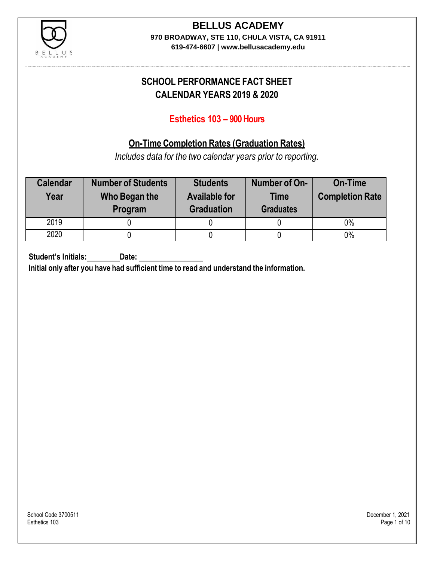

# **BELLUS ACADEMY**

**970 BROADWAY, STE 110, CHULA VISTA, CA 91911**

**619-474-6607 | www.bellusacademy.edu**

### **SCHOOL PERFORMANCE FACT SHEET CALENDAR YEARS 2019 & 2020**

### **Esthetics 103 – 900 Hours**

### **On-Time Completion Rates (Graduation Rates)**

*Includes data for the two calendar years prior to reporting.*

| <b>Calendar</b><br>Year | <b>Number of Students</b><br>Who Began the<br>Program | <b>Students</b><br><b>Available for</b><br><b>Graduation</b> | Number of On-<br><b>Time</b><br><b>Graduates</b> | <b>On-Time</b><br><b>Completion Rate</b> |
|-------------------------|-------------------------------------------------------|--------------------------------------------------------------|--------------------------------------------------|------------------------------------------|
| 2019                    |                                                       |                                                              |                                                  | $0\%$                                    |
| 2020                    |                                                       |                                                              |                                                  | $0\%$                                    |

**Student's Initials: Date:**

**Initial only after you have had sufficient time to read and understand the information.**

School Code 3700511 December 1, 2021<br>Esthetics 103 December 1, 2021 Esthetics 103 Page 1 of 10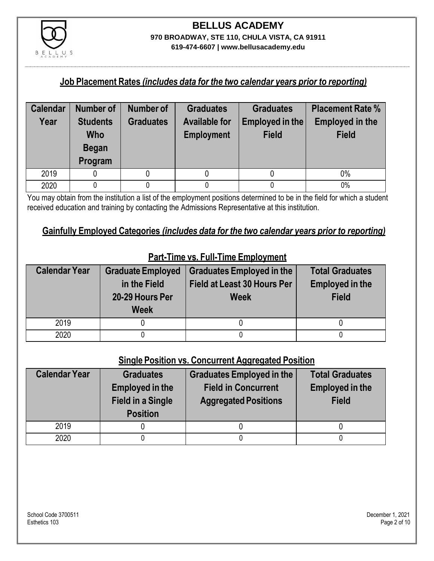

#### **Job Placement Rates** *(includes data for the two calendar years prior to reporting)*

| <b>Calendar</b> | <b>Number of</b>              | Number of        | <b>Graduates</b>                          | <b>Graduates</b>                | <b>Placement Rate %</b>                |
|-----------------|-------------------------------|------------------|-------------------------------------------|---------------------------------|----------------------------------------|
| Year            | <b>Students</b><br><b>Who</b> | <b>Graduates</b> | <b>Available for</b><br><b>Employment</b> | Employed in the<br><b>Field</b> | <b>Employed in the</b><br><b>Field</b> |
|                 | <b>Began</b>                  |                  |                                           |                                 |                                        |
|                 | Program                       |                  |                                           |                                 |                                        |
| 2019            |                               |                  |                                           |                                 | $0\%$                                  |
| 2020            |                               |                  |                                           |                                 | 0%                                     |

You may obtain from the institution a list of the employment positions determined to be in the field for which a student received education and training by contacting the Admissions Representative at this institution.

#### **Gainfully Employed Categories** *(includes data for the two calendar years prior to reporting)*

| <b>Calendar Year</b> | <b>Graduate Employed</b><br>in the Field<br>20-29 Hours Per<br><b>Week</b> | <b>Graduates Employed in the</b><br>Field at Least 30 Hours Per<br><b>Week</b> | <b>Total Graduates</b><br><b>Employed in the</b><br><b>Field</b> |
|----------------------|----------------------------------------------------------------------------|--------------------------------------------------------------------------------|------------------------------------------------------------------|
| 2019                 |                                                                            |                                                                                |                                                                  |
| 2020                 |                                                                            |                                                                                |                                                                  |

### **Part-Time vs. Full-Time Employment**

#### **Single Position vs. Concurrent Aggregated Position**

| <b>Calendar Year</b> | <b>Graduates</b><br><b>Employed in the</b><br><b>Field in a Single</b><br><b>Position</b> | Graduates Employed in the<br><b>Field in Concurrent</b><br><b>Aggregated Positions</b> | <b>Total Graduates</b><br><b>Employed in the</b><br><b>Field</b> |
|----------------------|-------------------------------------------------------------------------------------------|----------------------------------------------------------------------------------------|------------------------------------------------------------------|
| 2019                 |                                                                                           |                                                                                        |                                                                  |
| 2020                 |                                                                                           |                                                                                        |                                                                  |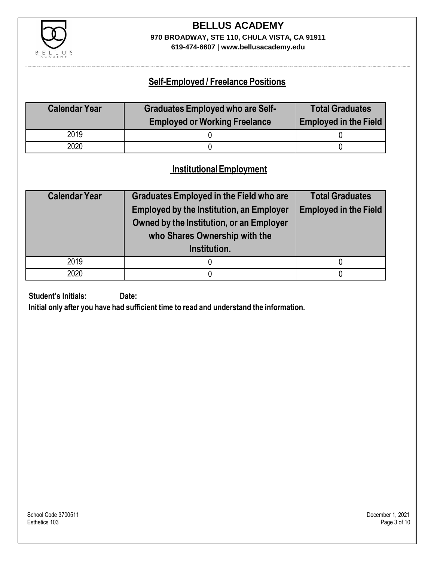

# **BELLUS ACADEMY 970 BROADWAY, STE 110, CHULA VISTA, CA 91911**

**619-474-6607 | www.bellusacademy.edu**

### **Self-Employed / Freelance Positions**

| <b>Calendar Year</b> | <b>Graduates Employed who are Self-</b> | <b>Total Graduates</b>       |
|----------------------|-----------------------------------------|------------------------------|
|                      | <b>Employed or Working Freelance</b>    | <b>Employed in the Field</b> |
| 2019                 |                                         |                              |
| 2020                 |                                         |                              |

### **InstitutionalEmployment**

| <b>Calendar Year</b> | <b>Graduates Employed in the Field who are</b><br><b>Employed by the Institution, an Employer</b><br>Owned by the Institution, or an Employer<br>who Shares Ownership with the | <b>Total Graduates</b><br><b>Employed in the Field</b> |  |
|----------------------|--------------------------------------------------------------------------------------------------------------------------------------------------------------------------------|--------------------------------------------------------|--|
|                      | Institution.                                                                                                                                                                   |                                                        |  |
| 2019                 |                                                                                                                                                                                |                                                        |  |
| 2020                 |                                                                                                                                                                                |                                                        |  |

**Student's Initials:** Date:

**Initial only after you have had sufficient time to read and understand the information.**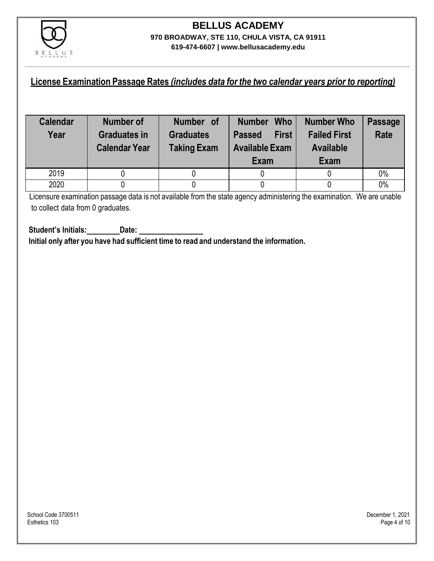

#### **License Examination Passage Rates** *(includes data for the two calendar years prior to reporting)*

| <b>Calendar</b><br>Year | Number of<br><b>Graduates in</b><br><b>Calendar Year</b> | Number of<br><b>Graduates</b><br><b>Taking Exam</b> | <b>Who</b><br><b>Number</b><br><b>First</b><br><b>Passed</b><br><b>Available Exam</b><br>Exam | <b>Number Who</b><br><b>Failed First</b><br><b>Available</b><br>Exam | <b>Passage</b><br><b>Rate</b> |
|-------------------------|----------------------------------------------------------|-----------------------------------------------------|-----------------------------------------------------------------------------------------------|----------------------------------------------------------------------|-------------------------------|
| 2019                    |                                                          |                                                     |                                                                                               |                                                                      | 0%                            |
| 2020                    |                                                          |                                                     |                                                                                               |                                                                      | 0%                            |

Licensure examination passage data is not available from the state agency administering the examination. We are unable to collect data from 0 graduates.

**Student's Initials: Date: Initial only after you have had sufficient time to read and understand the information.**

School Code 3700511 December 1, 2021<br>Esthetics 103 December 1, 2021 Esthetics 103 Page 4 of 10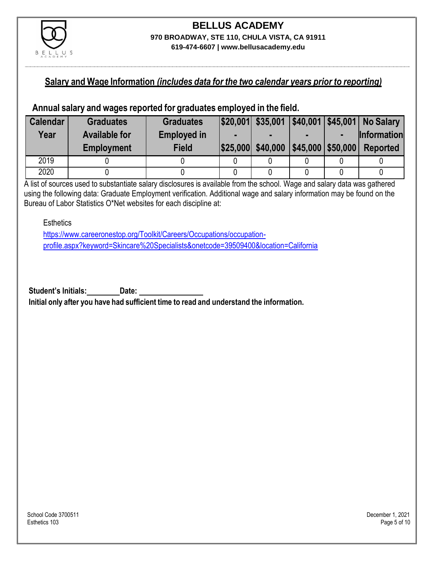

### **Salary and Wage Information** *(includes data for the two calendar years prior to reporting)*

#### **Annual salary and wages reported for graduates employed in the field.**

| <b>Calendar</b> | <b>Graduates</b>     | <b>Graduates</b>   |                   |                                                  | $ $20,001 $ \$35,001 $ $40,001 $ \$45,001 No Salary |
|-----------------|----------------------|--------------------|-------------------|--------------------------------------------------|-----------------------------------------------------|
| Year            | <b>Available for</b> | <b>Employed in</b> |                   |                                                  | <b>Information</b>                                  |
|                 | <b>Employment</b>    | <b>Field</b>       | \$25,000 \$40,000 | $\left  \frac{1}{2}$ \$45,000 $\right $ \$50,000 | <b>Reported</b>                                     |
| 2019            |                      |                    |                   |                                                  |                                                     |
| 2020            |                      |                    |                   |                                                  |                                                     |

A list of sources used to substantiate salary disclosures is available from the school. Wage and salary data was gathered using the following data: Graduate Employment verification. Additional wage and salary information may be found on the Bureau of Labor Statistics O\*Net websites for each discipline at:

**Esthetics** 

[https://www.careeronestop.org/Toolkit/Careers/Occupations/occupation](https://www.careeronestop.org/Toolkit/Careers/Occupations/occupation-profile.aspx?keyword=Skincare%20Specialists&onetcode=39509400&location=California)[profile.aspx?keyword=Skincare%20Specialists&onetcode=39509400&location=California](https://www.careeronestop.org/Toolkit/Careers/Occupations/occupation-profile.aspx?keyword=Skincare%20Specialists&onetcode=39509400&location=California)

**Student's Initials: Date:**

**Initial only after you have had sufficient time to read and understand the information.**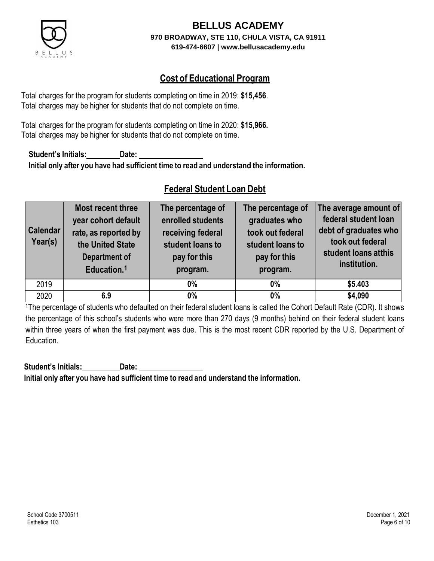

### **Cost of Educational Program**

Total charges for the program for students completing on time in 2019: **\$15,456**. Total charges may be higher for students that do not complete on time.

Total charges for the program for students completing on time in 2020: **\$15,966.** Total charges may be higher for students that do not complete on time.

**Student's Initials: Date: Initial only after you have had sufficient time to read and understand the information.**

### **Federal Student Loan Debt**

| <b>Calendar</b><br>Year(s) | <b>Most recent three</b><br>year cohort default<br>rate, as reported by<br>the United State<br><b>Department of</b><br>Education. <sup>1</sup> | The percentage of<br>enrolled students<br>receiving federal<br>student loans to<br>pay for this<br>program. | The percentage of<br>graduates who<br>took out federal<br>student loans to<br>pay for this<br>program. | The average amount of<br>federal student loan<br>debt of graduates who<br>took out federal<br>student loans atthis<br>institution. |
|----------------------------|------------------------------------------------------------------------------------------------------------------------------------------------|-------------------------------------------------------------------------------------------------------------|--------------------------------------------------------------------------------------------------------|------------------------------------------------------------------------------------------------------------------------------------|
| 2019                       |                                                                                                                                                | $0\%$                                                                                                       | $0\%$                                                                                                  | \$5.403                                                                                                                            |
| 2020                       | 6.9                                                                                                                                            | $0\%$                                                                                                       | $0\%$                                                                                                  | \$4,090                                                                                                                            |

<sup>1</sup>The percentage of students who defaulted on their federal student loans is called the Cohort Default Rate (CDR). It shows the percentage of this school's students who were more than 270 days (9 months) behind on their federal student loans within three years of when the first payment was due. This is the most recent CDR reported by the U.S. Department of Education.

**Student's Initials: Date: Initial only after you have had sufficient time to read and understand the information.**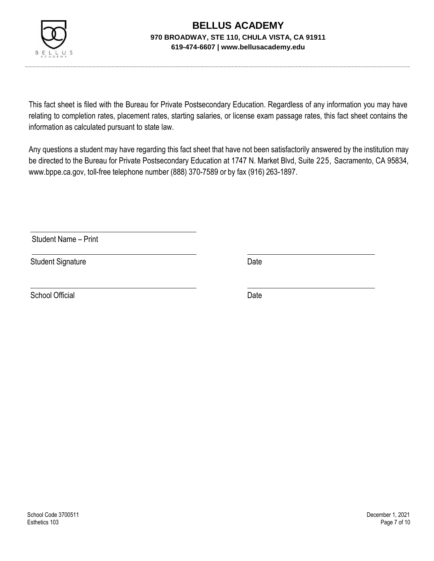

This fact sheet is filed with the Bureau for Private Postsecondary Education. Regardless of any information you may have relating to completion rates, placement rates, starting salaries, or license exam passage rates, this fact sheet contains the information as calculated pursuant to state law.

Any questions a student may have regarding this fact sheet that have not been satisfactorily answered by the institution may be directed to the Bureau for Private Postsecondary Education at 1747 N. Market Blvd, Suite 225, Sacramento, CA 95834, [www.bppe.ca.gov,](http://www.bppe.ca.gov/) toll-free telephone number (888) 370-7589 or by fax (916) 263-1897.

Student Name – Print

Student Signature Date

School Official Date Date Date Date Date Date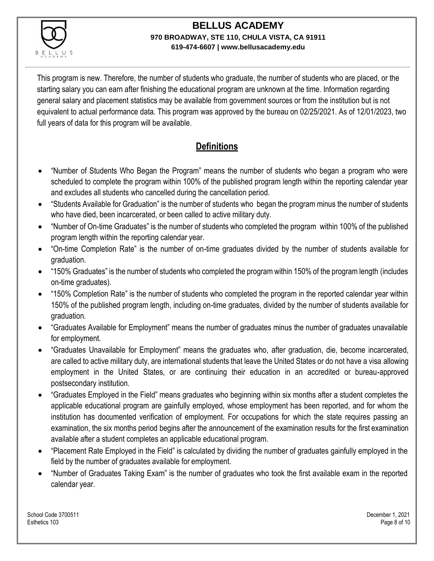

This program is new. Therefore, the number of students who graduate, the number of students who are placed, or the starting salary you can earn after finishing the educational program are unknown at the time. Information regarding general salary and placement statistics may be available from government sources or from the institution but is not equivalent to actual performance data. This program was approved by the bureau on 02/25/2021. As of 12/01/2023, two full years of data for this program will be available.

### **Definitions**

- "Number of Students Who Began the Program" means the number of students who began a program who were scheduled to complete the program within 100% of the published program length within the reporting calendar year and excludes all students who cancelled during the cancellation period.
- "Students Available for Graduation" is the number of students who began the program minus the number of students who have died, been incarcerated, or been called to active military duty.
- "Number of On-time Graduates" is the number of students who completed the program within 100% of the published program length within the reporting calendar year.
- "On-time Completion Rate" is the number of on-time graduates divided by the number of students available for graduation.
- "150% Graduates" is the number of students who completed the program within 150% of the program length (includes on-time graduates).
- "150% Completion Rate" is the number of students who completed the program in the reported calendar year within 150% of the published program length, including on-time graduates, divided by the number of students available for graduation.
- "Graduates Available for Employment" means the number of graduates minus the number of graduates unavailable for employment.
- "Graduates Unavailable for Employment" means the graduates who, after graduation, die, become incarcerated, are called to active military duty, are international students that leave the United States or do not have a visa allowing employment in the United States, or are continuing their education in an accredited or bureau-approved postsecondary institution.
- "Graduates Employed in the Field" means graduates who beginning within six months after a student completes the applicable educational program are gainfully employed, whose employment has been reported, and for whom the institution has documented verification of employment. For occupations for which the state requires passing an examination, the six months period begins after the announcement of the examination results for the first examination available after a student completes an applicable educational program.
- "Placement Rate Employed in the Field" is calculated by dividing the number of graduates gainfully employed in the field by the number of graduates available for employment.
- "Number of Graduates Taking Exam" is the number of graduates who took the first available exam in the reported calendar year.

School Code 3700511 December 1, 2021 Esthetics 103 Page 8 of 10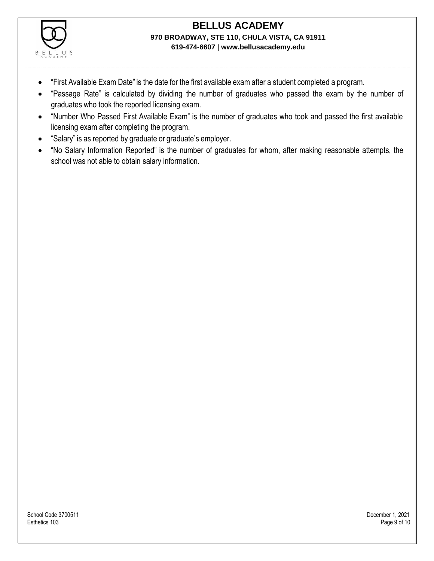

- "First Available Exam Date" is the date for the first available exam after a student completed a program.
- "Passage Rate" is calculated by dividing the number of graduates who passed the exam by the number of graduates who took the reported licensing exam.
- "Number Who Passed First Available Exam" is the number of graduates who took and passed the first available licensing exam after completing the program.
- "Salary" is as reported by graduate or graduate's employer.
- "No Salary Information Reported" is the number of graduates for whom, after making reasonable attempts, the school was not able to obtain salary information.